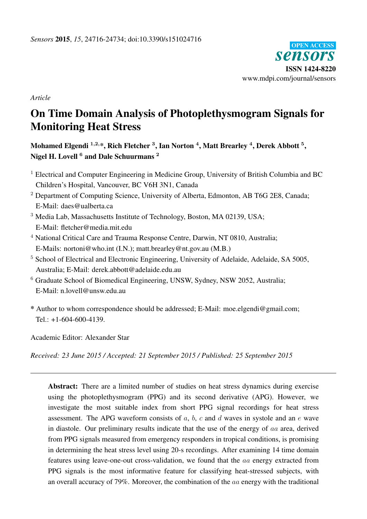

*Article*

# On Time Domain Analysis of Photoplethysmogram Signals for Monitoring Heat Stress

Mohamed Elgendi  $^{1,2,\ast},$  Rich Fletcher  $^3,$  Ian Norton  $^4,$  Matt Brearley  $^4,$  Derek Abbott  $^5,$ Nigel H. Lovell<sup>6</sup> and Dale Schuurmans<sup>2</sup>

- <sup>1</sup> Electrical and Computer Engineering in Medicine Group, University of British Columbia and BC Children's Hospital, Vancouver, BC V6H 3N1, Canada
- <sup>2</sup> Department of Computing Science, University of Alberta, Edmonton, AB T6G 2E8, Canada; E-Mail: daes@ualberta.ca
- <sup>3</sup> Media Lab, Massachusetts Institute of Technology, Boston, MA 02139, USA; E-Mail: fletcher@media.mit.edu
- <sup>4</sup> National Critical Care and Trauma Response Centre, Darwin, NT 0810, Australia; E-Mails: nortoni@who.int (I.N.); matt.brearley@nt.gov.au (M.B.)
- <sup>5</sup> School of Electrical and Electronic Engineering, University of Adelaide, Adelaide, SA 5005, Australia; E-Mail: derek.abbott@adelaide.edu.au
- <sup>6</sup> Graduate School of Biomedical Engineering, UNSW, Sydney, NSW 2052, Australia; E-Mail: n.lovell@unsw.edu.au
- \* Author to whom correspondence should be addressed; E-Mail: moe.elgendi@gmail.com; Tel.: +1-604-600-4139.

Academic Editor: Alexander Star

*Received: 23 June 2015 / Accepted: 21 September 2015 / Published: 25 September 2015*

Abstract: There are a limited number of studies on heat stress dynamics during exercise using the photoplethysmogram (PPG) and its second derivative (APG). However, we investigate the most suitable index from short PPG signal recordings for heat stress assessment. The APG waveform consists of  $a, b, c$  and  $d$  waves in systole and an  $e$  wave in diastole. Our preliminary results indicate that the use of the energy of aa area, derived from PPG signals measured from emergency responders in tropical conditions, is promising in determining the heat stress level using 20-s recordings. After examining 14 time domain features using leave-one-out cross-validation, we found that the aa energy extracted from PPG signals is the most informative feature for classifying heat-stressed subjects, with an overall accuracy of 79%. Moreover, the combination of the aa energy with the traditional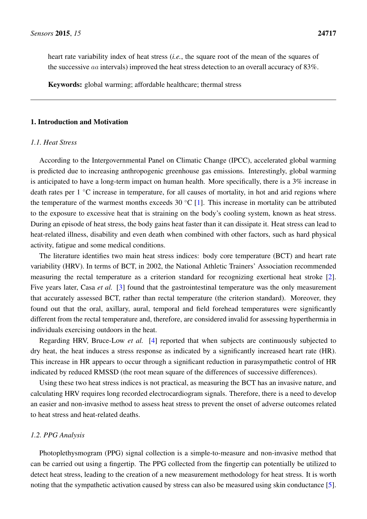heart rate variability index of heat stress (*i.e.*, the square root of the mean of the squares of the successive aa intervals) improved the heat stress detection to an overall accuracy of 83%.

Keywords: global warming; affordable healthcare; thermal stress

#### 1. Introduction and Motivation

#### *1.1. Heat Stress*

According to the Intergovernmental Panel on Climatic Change (IPCC), accelerated global warming is predicted due to increasing anthropogenic greenhouse gas emissions. Interestingly, global warming is anticipated to have a long-term impact on human health. More specifically, there is a  $3\%$  increase in death rates per 1 °C increase in temperature, for all causes of mortality, in hot and arid regions where the temperature of the warmest months exceeds  $30\text{ °C}$  [\[1\]](#page-16-0). This increase in mortality can be attributed to the exposure to excessive heat that is straining on the body's cooling system, known as heat stress. During an episode of heat stress, the body gains heat faster than it can dissipate it. Heat stress can lead to heat-related illness, disability and even death when combined with other factors, such as hard physical activity, fatigue and some medical conditions.

The literature identifies two main heat stress indices: body core temperature (BCT) and heart rate variability (HRV). In terms of BCT, in 2002, the National Athletic Trainers' Association recommended measuring the rectal temperature as a criterion standard for recognizing exertional heat stroke [\[2\]](#page-16-1). Five years later, Casa *et al.* [\[3\]](#page-16-2) found that the gastrointestinal temperature was the only measurement that accurately assessed BCT, rather than rectal temperature (the criterion standard). Moreover, they found out that the oral, axillary, aural, temporal and field forehead temperatures were significantly different from the rectal temperature and, therefore, are considered invalid for assessing hyperthermia in individuals exercising outdoors in the heat.

Regarding HRV, Bruce-Low *et al.* [\[4\]](#page-16-3) reported that when subjects are continuously subjected to dry heat, the heat induces a stress response as indicated by a significantly increased heart rate (HR). This increase in HR appears to occur through a significant reduction in parasympathetic control of HR indicated by reduced RMSSD (the root mean square of the differences of successive differences).

Using these two heat stress indices is not practical, as measuring the BCT has an invasive nature, and calculating HRV requires long recorded electrocardiogram signals. Therefore, there is a need to develop an easier and non-invasive method to assess heat stress to prevent the onset of adverse outcomes related to heat stress and heat-related deaths.

#### *1.2. PPG Analysis*

Photoplethysmogram (PPG) signal collection is a simple-to-measure and non-invasive method that can be carried out using a fingertip. The PPG collected from the fingertip can potentially be utilized to detect heat stress, leading to the creation of a new measurement methodology for heat stress. It is worth noting that the sympathetic activation caused by stress can also be measured using skin conductance [\[5\]](#page-16-4).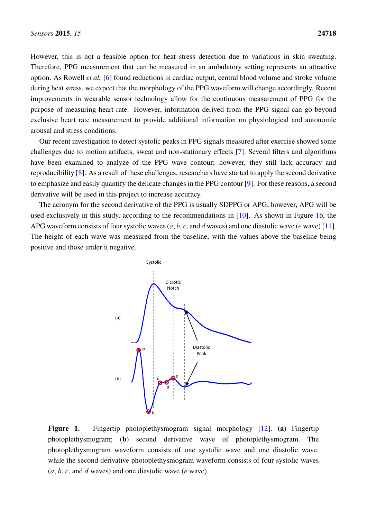However, this is not a feasible option for heat stress detection due to variations in skin sweating. Therefore, PPG measurement that can be measured in an ambulatory setting represents an attractive option. As Rowell *et al.* [\[6\]](#page-16-5) found reductions in cardiac output, central blood volume and stroke volume during heat stress, we expect that the morphology of the PPG waveform will change accordingly. Recent improvements in wearable sensor technology allow for the continuous measurement of PPG for the purpose of measuring heart rate. However, information derived from the PPG signal can go beyond exclusive heart rate measurement to provide additional information on physiological and autonomic arousal and stress conditions.

Our recent investigation to detect systolic peaks in PPG signals measured after exercise showed some challenges due to motion artifacts, sweat and non-stationary effects [\[7\]](#page-16-6). Several filters and algorithms have been examined to analyze of the PPG wave contour; however, they still lack accuracy and reproducibility [\[8\]](#page-16-7). As a result of these challenges, researchers have started to apply the second derivative to emphasize and easily quantify the delicate changes in the PPG contour [\[9\]](#page-16-8). For these reasons, a second derivative will be used in this project to increase accuracy.

<span id="page-2-0"></span>The acronym for the second derivative of the PPG is usually SDPPG or APG; however, APG will be used exclusively in this study, according to the recommendations in [\[10\]](#page-16-9). As shown in Figure [1b](#page-2-0), the APG waveform consists of four systolic waves  $(a, b, c, and d$  waves) and one diastolic wave  $(e$  wave) [\[11\]](#page-17-0). The height of each wave was measured from the baseline, with the values above the baseline being positive and those under it negative.



Figure 1. Fingertip photoplethysmogram signal morphology [\[12\]](#page-17-1). (a) Fingertip photoplethysmogram; (b) second derivative wave of photoplethysmogram. The photoplethysmogram waveform consists of one systolic wave and one diastolic wave, while the second derivative photoplethysmogram waveform consists of four systolic waves (*a*, *b*, *c*, and *d* waves) and one diastolic wave (*e* wave).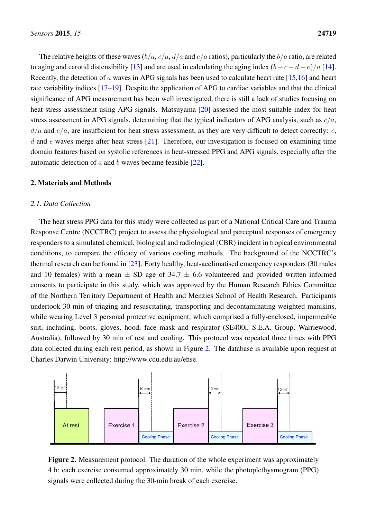<span id="page-3-1"></span>The relative heights of these waves  $(b/a, c/a, d/a$  and  $e/a$  ratios), particularly the  $b/a$  ratio, are related to aging and carotid distensibility [\[13\]](#page-17-2) and are used in calculating the aging index  $(b-c-d-e)/a$  [\[14\]](#page-17-3). Recently, the detection of a waves in APG signals has been used to calculate heart rate  $[15,16]$  $[15,16]$  and heart rate variability indices [\[17–](#page-17-6)[19\]](#page-17-7). Despite the application of APG to cardiac variables and that the clinical significance of APG measurement has been well investigated, there is still a lack of studies focusing on heat stress assessment using APG signals. Matsuyama [\[20\]](#page-17-8) assessed the most suitable index for heat stress assessment in APG signals, determining that the typical indicators of APG analysis, such as  $c/a$ ,  $d/a$  and  $e/a$ , are insufficient for heat stress assessment, as they are very difficult to detect correctly: c, d and e waves merge after heat stress  $[21]$ . Therefore, our investigation is focused on examining time domain features based on systolic references in heat-stressed PPG and APG signals, especially after the automatic detection of  $a$  and  $b$  waves became feasible  $[22]$ .

### 2. Materials and Methods

#### *2.1. Data Collection*

The heat stress PPG data for this study were collected as part of a National Critical Care and Trauma Response Centre (NCCTRC) project to assess the physiological and perceptual responses of emergency responders to a simulated chemical, biological and radiological (CBR) incident in tropical environmental conditions, to compare the efficacy of various cooling methods. The background of the NCCTRC's thermal research can be found in [\[23\]](#page-17-11). Forty healthy, heat-acclimatised emergency responders (30 males and 10 females) with a mean  $\pm$  SD age of 34.7  $\pm$  6.6 volunteered and provided written informed consents to participate in this study, which was approved by the Human Research Ethics Committee of the Northern Territory Department of Health and Menzies School of Health Research. Participants undertook 30 min of triaging and resuscitating, transporting and decontaminating weighted manikins, while wearing Level 3 personal protective equipment, which comprised a fully-enclosed, impermeable suit, including, boots, gloves, hood, face mask and respirator (SE400i, S.E.A. Group, Warriewood, Australia), followed by 30 min of rest and cooling. This protocol was repeated three times with PPG data collected during each rest period, as shown in Figure [2.](#page-3-0) The database is available upon request at Charles Darwin University: http://www.cdu.edu.au/ehse.

<span id="page-3-0"></span>

Figure 2. Measurement protocol. The duration of the whole experiment was approximately 4 h; each exercise consumed approximately 30 min, while the photoplethysmogram (PPG) signals were collected during the 30-min break of each exercise.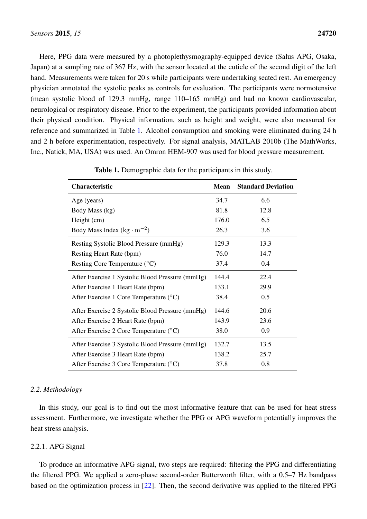Here, PPG data were measured by a photoplethysmography-equipped device (Salus APG, Osaka, Japan) at a sampling rate of 367 Hz, with the sensor located at the cuticle of the second digit of the left hand. Measurements were taken for 20 s while participants were undertaking seated rest. An emergency physician annotated the systolic peaks as controls for evaluation. The participants were normotensive (mean systolic blood of 129.3 mmHg, range 110–165 mmHg) and had no known cardiovascular, neurological or respiratory disease. Prior to the experiment, the participants provided information about their physical condition. Physical information, such as height and weight, were also measured for reference and summarized in Table [1.](#page-4-0) Alcohol consumption and smoking were eliminated during 24 h and 2 h before experimentation, respectively. For signal analysis, MATLAB 2010b (The MathWorks, Inc., Natick, MA, USA) was used. An Omron HEM-907 was used for blood pressure measurement.

<span id="page-4-0"></span>

| <b>Characteristic</b>                               | <b>Mean</b> | <b>Standard Deviation</b> |
|-----------------------------------------------------|-------------|---------------------------|
| Age (years)                                         | 34.7        | 6.6                       |
| Body Mass (kg)                                      | 81.8        | 12.8                      |
| Height (cm)                                         | 176.0       | 6.5                       |
| Body Mass Index ( $\text{kg} \cdot \text{m}^{-2}$ ) | 26.3        | 3.6                       |
| Resting Systolic Blood Pressure (mmHg)              | 129.3       | 13.3                      |
| Resting Heart Rate (bpm)                            | 76.0        | 14.7                      |
| Resting Core Temperature $({}^{\circ}C)$            | 37.4        | 0.4                       |
| After Exercise 1 Systolic Blood Pressure (mmHg)     | 144.4       | 22.4                      |
| After Exercise 1 Heart Rate (bpm)                   | 133.1       | 29.9                      |
| After Exercise 1 Core Temperature $({}^{\circ}C)$   | 38.4        | 0.5                       |
| After Exercise 2 Systolic Blood Pressure (mmHg)     | 144.6       | 20.6                      |
| After Exercise 2 Heart Rate (bpm)                   | 143.9       | 23.6                      |
| After Exercise 2 Core Temperature $({}^{\circ}C)$   | 38.0        | 0.9                       |
| After Exercise 3 Systolic Blood Pressure (mmHg)     | 132.7       | 13.5                      |
| After Exercise 3 Heart Rate (bpm)                   | 138.2       | 25.7                      |
| After Exercise 3 Core Temperature $({}^{\circ}C)$   | 37.8        | 0.8                       |

Table 1. Demographic data for the participants in this study.

# *2.2. Methodology*

In this study, our goal is to find out the most informative feature that can be used for heat stress assessment. Furthermore, we investigate whether the PPG or APG waveform potentially improves the heat stress analysis.

#### 2.2.1. APG Signal

To produce an informative APG signal, two steps are required: filtering the PPG and differentiating the filtered PPG. We applied a zero-phase second-order Butterworth filter, with a 0.5–7 Hz bandpass based on the optimization process in [\[22\]](#page-17-10). Then, the second derivative was applied to the filtered PPG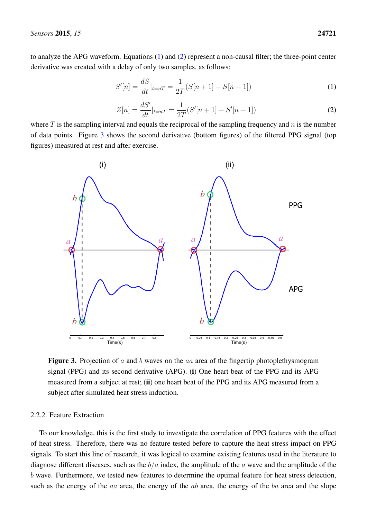to analyze the APG waveform. Equations [\(1\)](#page-5-0) and [\(2\)](#page-5-1) represent a non-causal filter; the three-point center derivative was created with a delay of only two samples, as follows:

<span id="page-5-0"></span>
$$
S'[n] = \frac{dS}{dt}|_{t=nT} = \frac{1}{2T}(S[n+1] - S[n-1])
$$
\n(1)

<span id="page-5-1"></span>
$$
Z[n] = \frac{dS'}{dt}|_{t=n} = \frac{1}{2T}(S'[n+1] - S'[n-1])
$$
\n(2)

where  $T$  is the sampling interval and equals the reciprocal of the sampling frequency and  $n$  is the number of data points. Figure [3](#page-5-2) shows the second derivative (bottom figures) of the filtered PPG signal (top figures) measured at rest and after exercise.

<span id="page-5-2"></span>

Figure 3. Projection of  $a$  and  $b$  waves on the  $aa$  area of the fingertip photoplethysmogram signal (PPG) and its second derivative (APG). (i) One heart beat of the PPG and its APG measured from a subject at rest; (ii) one heart beat of the PPG and its APG measured from a subject after simulated heat stress induction.

# 2.2.2. Feature Extraction

To our knowledge, this is the first study to investigate the correlation of PPG features with the effect of heat stress. Therefore, there was no feature tested before to capture the heat stress impact on PPG signals. To start this line of research, it was logical to examine existing features used in the literature to diagnose different diseases, such as the  $b/a$  index, the amplitude of the a wave and the amplitude of the b wave. Furthermore, we tested new features to determine the optimal feature for heat stress detection, such as the energy of the *aa* area, the energy of the *ab* area, the energy of the *ba* area and the slope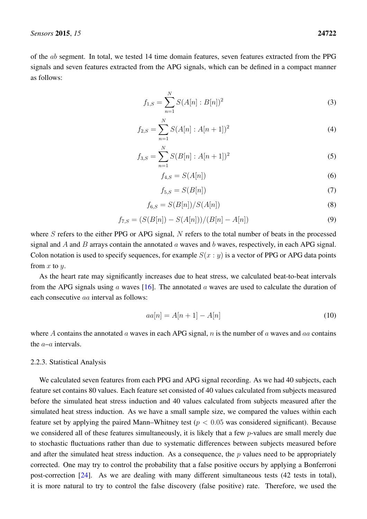of the ab segment. In total, we tested 14 time domain features, seven features extracted from the PPG signals and seven features extracted from the APG signals, which can be defined in a compact manner as follows:

$$
f_{1,S} = \sum_{n=1}^{N} S(A[n] : B[n])^2
$$
 (3)

$$
f_{2,S} = \sum_{n=1}^{N} S(A[n] : A[n+1])^2
$$
 (4)

$$
f_{3,S} = \sum_{n=1}^{N} S(B[n] : A[n+1])^2
$$
 (5)

$$
f_{4,S} = S(A[n]) \tag{6}
$$

$$
f_{5,S} = S(B[n])\tag{7}
$$

$$
f_{6,S} = S(B[n])/S(A[n])
$$
\n(8)

$$
f_{7,S} = (S(B[n]) - S(A[n]))/(B[n] - A[n])
$$
\n(9)

where  $S$  refers to the either PPG or APG signal,  $N$  refers to the total number of beats in the processed signal and A and B arrays contain the annotated  $a$  waves and  $b$  waves, respectively, in each APG signal. Colon notation is used to specify sequences, for example  $S(x : y)$  is a vector of PPG or APG data points from  $x$  to  $y$ .

As the heart rate may significantly increases due to heat stress, we calculated beat-to-beat intervals from the APG signals using a waves [\[16\]](#page-17-5). The annotated a waves are used to calculate the duration of each consecutive aa interval as follows:

$$
aa[n] = A[n+1] - A[n] \tag{10}
$$

where A contains the annotated a waves in each APG signal,  $n$  is the number of a waves and aa contains the a–a intervals.

## 2.2.3. Statistical Analysis

We calculated seven features from each PPG and APG signal recording. As we had 40 subjects, each feature set contains 80 values. Each feature set consisted of 40 values calculated from subjects measured before the simulated heat stress induction and 40 values calculated from subjects measured after the simulated heat stress induction. As we have a small sample size, we compared the values within each feature set by applying the paired Mann–Whitney test ( $p < 0.05$  was considered significant). Because we considered all of these features simultaneously, it is likely that a few *p*-values are small merely due to stochastic fluctuations rather than due to systematic differences between subjects measured before and after the simulated heat stress induction. As a consequence, the  $p$  values need to be appropriately corrected. One may try to control the probability that a false positive occurs by applying a Bonferroni post-correction [\[24\]](#page-17-12). As we are dealing with many different simultaneous tests (42 tests in total), it is more natural to try to control the false discovery (false positive) rate. Therefore, we used the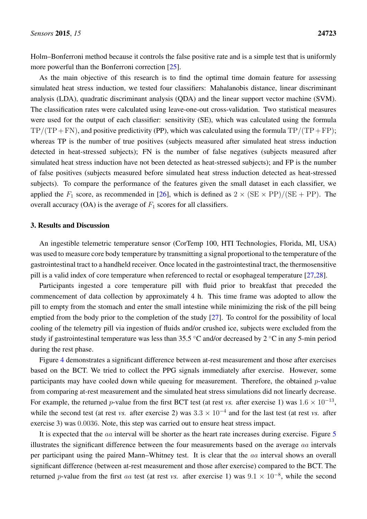Holm–Bonferroni method because it controls the false positive rate and is a simple test that is uniformly more powerful than the Bonferroni correction [\[25\]](#page-17-13).

As the main objective of this research is to find the optimal time domain feature for assessing simulated heat stress induction, we tested four classifiers: Mahalanobis distance, linear discriminant analysis (LDA), quadratic discriminant analysis (QDA) and the linear support vector machine (SVM). The classification rates were calculated using leave-one-out cross-validation. Two statistical measures were used for the output of each classifier: sensitivity (SE), which was calculated using the formula  $TP/(TP + FN)$ , and positive predictivity (PP), which was calculated using the formula  $TP/(TP + FP)$ ; whereas TP is the number of true positives (subjects measured after simulated heat stress induction detected in heat-stressed subjects); FN is the number of false negatives (subjects measured after simulated heat stress induction have not been detected as heat-stressed subjects); and FP is the number of false positives (subjects measured before simulated heat stress induction detected as heat-stressed subjects). To compare the performance of the features given the small dataset in each classifier, we applied the  $F_1$  score, as recommended in [\[26\]](#page-18-0), which is defined as  $2 \times (SE \times PP)/(SE + PP)$ . The overall accuracy (OA) is the average of  $F_1$  scores for all classifiers.

#### 3. Results and Discussion

An ingestible telemetric temperature sensor (CorTemp 100, HTI Technologies, Florida, MI, USA) was used to measure core body temperature by transmitting a signal proportional to the temperature of the gastrointestinal tract to a handheld receiver. Once located in the gastrointestinal tract, the thermosensitive pill is a valid index of core temperature when referenced to rectal or esophageal temperature [\[27,](#page-18-1)[28\]](#page-18-2).

Participants ingested a core temperature pill with fluid prior to breakfast that preceded the commencement of data collection by approximately 4 h. This time frame was adopted to allow the pill to empty from the stomach and enter the small intestine while minimizing the risk of the pill being emptied from the body prior to the completion of the study [\[27\]](#page-18-1). To control for the possibility of local cooling of the telemetry pill via ingestion of fluids and/or crushed ice, subjects were excluded from the study if gastrointestinal temperature was less than 35.5 ◦C and/or decreased by 2 ◦C in any 5-min period during the rest phase.

Figure [4](#page-8-0) demonstrates a significant difference between at-rest measurement and those after exercises based on the BCT. We tried to collect the PPG signals immediately after exercise. However, some participants may have cooled down while queuing for measurement. Therefore, the obtained  $p$ -value from comparing at-rest measurement and the simulated heat stress simulations did not linearly decrease. For example, the returned p-value from the first BCT test (at rest *vs.* after exercise 1) was  $1.6 \times 10^{-13}$ , while the second test (at rest *vs.* after exercise 2) was  $3.3 \times 10^{-4}$  and for the last test (at rest *vs.* after exercise 3) was 0.0036. Note, this step was carried out to ensure heat stress impact.

It is expected that the aa interval will be shorter as the heart rate increases during exercise. Figure [5](#page-11-0) illustrates the significant difference between the four measurements based on the average aa intervals per participant using the paired Mann–Whitney test. It is clear that the aa interval shows an overall significant difference (between at-rest measurement and those after exercise) compared to the BCT. The returned p-value from the first aa test (at rest *vs.* after exercise 1) was  $9.1 \times 10^{-8}$ , while the second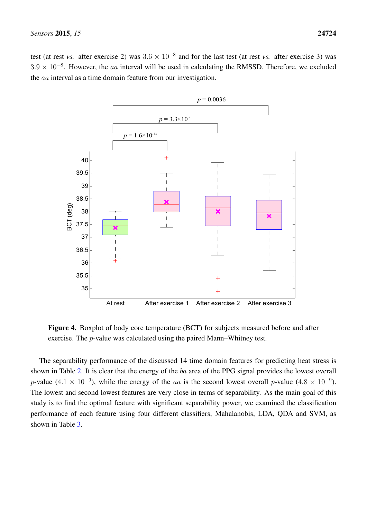test (at rest *vs.* after exercise 2) was  $3.6 \times 10^{-8}$  and for the last test (at rest *vs.* after exercise 3) was  $3.9 \times 10^{-8}$ . However, the aa interval will be used in calculating the RMSSD. Therefore, we excluded the aa interval as a time domain feature from our investigation.

<span id="page-8-0"></span>

Figure 4. Boxplot of body core temperature (BCT) for subjects measured before and after exercise. The p-value was calculated using the paired Mann–Whitney test.

The separability performance of the discussed 14 time domain features for predicting heat stress is shown in Table [2.](#page-9-0) It is clear that the energy of the ba area of the PPG signal provides the lowest overall p-value  $(4.1 \times 10^{-9})$ , while the energy of the aa is the second lowest overall p-value  $(4.8 \times 10^{-9})$ . The lowest and second lowest features are very close in terms of separability. As the main goal of this study is to find the optimal feature with significant separability power, we examined the classification performance of each feature using four different classifiers, Mahalanobis, LDA, QDA and SVM, as shown in Table [3.](#page-10-0)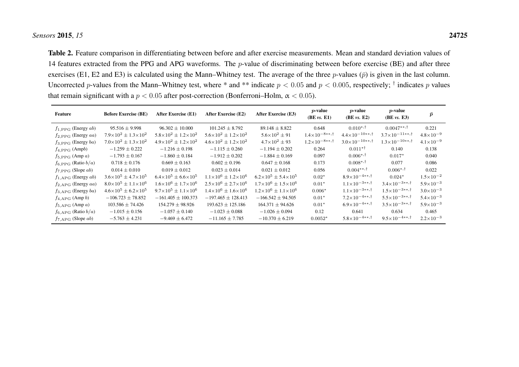# *Sensors* <sup>2015</sup>, *<sup>15</sup>*

Table 2. Feature comparison in differentiating between before and after exercise measurements. Mean and standard deviation values of 14 features extracted from the PPG and APG waveforms. The  $p$ -value of discriminating between before exercise (BE) and after three exercises (E1, E2 and E3) is calculated using the Mann–Whitney test. The average of the three p-values ( $\bar{p}$ ) is given in the last column. Uncorrected p-values from the Mann–Whitney test, where  $*$  and  $**$  indicate  $p < 0.05$  and  $p < 0.005$ , respectively;  $\dagger$  indicates p values that remain significant with a  $p < 0.05$  after post-correction (Bonferroni–Holm,  $\alpha < 0.05$ ).

<span id="page-9-0"></span>

| Feature                               | <b>Before Exercise (BE)</b>           | After Exercise (E1)                 | After Exercise (E2)                   | After Exercise (E3)               |                                   | $p$ -value<br>$(BE \nu s. E2)$ | $p$ -value<br>$(BE \nu s. E3)$     | $\bar{p}$            |
|---------------------------------------|---------------------------------------|-------------------------------------|---------------------------------------|-----------------------------------|-----------------------------------|--------------------------------|------------------------------------|----------------------|
| $f_{1,\text{PPG}}$ (Energy ab)        | $95.516 \pm 9.998$                    | $96.302 \pm 10.000$                 | $101.245 \pm 8.792$                   | $89.148 \pm 8.822$                | 0.648                             | $0.010^{*,\dagger}$            | $0.0047***$ <sup>+*</sup>          | 0.221                |
| $f_{2,PPG}$ (Energy aa)               | $7.9\times10^{2} \pm 1.3\times10^{2}$ | $5.8 \times 10^2 + 1.2 \times 10^2$ | $5.6 \times 10^2 + 1.2 \times 10^2$   | $5.6 \times 10^2 \pm 91$          | $1.4 \times 10^{-8**},^{\dagger}$ | $4.4 \times 10^{-10**}$ ,†     | $3.7 \times 10^{-11**}$            | $4.8 \times 10^{-9}$ |
| $f_{3,PPG}$ (Energy ba)               | $7.0\times10^{2} \pm 1.3\times10^{2}$ | $4.9 \times 10^2 + 1.2 \times 10^2$ | $4.6 \times 10^2 \pm 1.2 \times 10^2$ | $4.7 \times 10^2 \pm 93$          | $1.2 \times 10^{-8**}$ ,†         | $3.0\times10^{-10**}$ ,†       | $1.3\times10^{-10**}$ <sup>+</sup> | $4.1 \times 10^{-9}$ |
| $f_{4,\text{PPG}}$ (Ampb)             | $-1.259 \pm 0.222$                    | $-1.216 \pm 0.198$                  | $-1.115 \pm 0.260$                    | $-1.194 \pm 0.202$                | 0.264                             | $0.011**$                      | 0.140                              | 0.138                |
| $f_{5,\text{PPG}}$ (Amp a)            | $-1.793 \pm 0.167$                    | $-1.860 \pm 0.184$                  | $-1.912 \pm 0.202$                    | $-1.884 \pm 0.169$                | 0.097                             | $0.006$ <sup>*</sup>           | $0.017*$                           | 0.040                |
| $f_{6,\text{PPG}}$ (Ratio $b/a$ )     | $0.718 \pm 0.176$                     | $0.669 \pm 0.163$                   | $0.602 + 0.196$                       | $0.647 \pm 0.168$                 | 0.173                             | $0.008^{*,+}$                  | 0.077                              | 0.086                |
| $f_{7,\text{PPG}}$ (Slope <i>ab</i> ) | $0.014 \pm 0.010$                     | $0.019 \pm 0.012$                   | $0.023 \pm 0.014$                     | $0.021 \pm 0.012$                 | 0.056                             | $0.004***$ <sup>†</sup>        | $0.006$ <sup>*</sup>               | 0.022                |
| $f_{1,APG}$ (Energy ab)               | $3.6\times10^5 \pm 4.7\times10^5$     | $6.4 \times 10^5 + 6.6 \times 10^5$ | $1.1 \times 10^6 + 1.2 \times 10^6$   | $6.2\times10^5 \pm 5.4\times10^5$ | $0.02*$                           | $8.9 \times 10^{-4**}$         | $0.024*$                           | $1.5 \times 10^{-2}$ |
| $f_{2,APG}$ (Energy aa)               | $8.0\times10^5 \pm 1.1\times10^6$     | $1.6\times10^6 \pm 1.7\times10^6$   | $2.5 \times 10^6 \pm 2.7 \times 10^6$ | $1.7\times10^6 \pm 1.5\times10^6$ | $0.01*$                           | $1.1 \times 10^{-3**}$ ,†      | $3.4 \times 10^{-3**}$             | $5.9 \times 10^{-3}$ |
| $f_{3,APG}$ (Energy ba)               | $4.6\times10^5 \pm 6.2\times10^5$     | $9.7\times10^5 \pm 1.1\times10^6$   | $1.4\times10^6 \pm 1.6\times10^6$     | $1.2\times10^6 \pm 1.1\times10^6$ | $0.006*$                          | $1.1 \times 10^{-3**}$ ,†      | $1.5 \times 10^{-3**}$ ,†          | $3.0\times10^{-3}$   |
| $f_{4,\text{APG}}$ (Amp b)            | $-106.723 \pm 78.852$                 | $-161.405 \pm 100.373$              | $-197.465 \pm 128.413$                | $-166.542 \pm 94.505$             | $0.01*$                           | $7.2 \times 10^{-4**}$ ,†      | $5.5 \times 10^{-3**}$             | $5.4\times10^{-3}$   |
| $f_{5,\text{APG}}$ (Amp <i>a</i> )    | $103.586 \pm 74.426$                  | $154.279 \pm 98.926$                | $193.623 \pm 125.186$                 | $164.371 \pm 94.626$              | $0.01*$                           | $6.9\times10^{-4**}$ ,†        | $3.5 \times 10^{-3**}$             | $5.9 \times 10^{-3}$ |
| $f_{6,\text{APG}}$ (Ratio $b/a$ )     | $-1.015 \pm 0.156$                    | $-1.057 \pm 0.140$                  | $-1.023 \pm 0.088$                    | $-1.026 \pm 0.094$                | 0.12                              | 0.641                          | 0.634                              | 0.465                |
| $f_{7,\text{APG}}$ (Slope <i>ab</i> ) | $-5.763 \pm 4.231$                    | $-9.469 \pm 6.472$                  | $-11.165 \pm 7.785$                   | $-10.370 \pm 6.219$               | $0.0052*$                         | $5.8 \times 10^{-4***}$        | $9.5 \times 10^{-4**}$             | $2.2\times10^{-3}$   |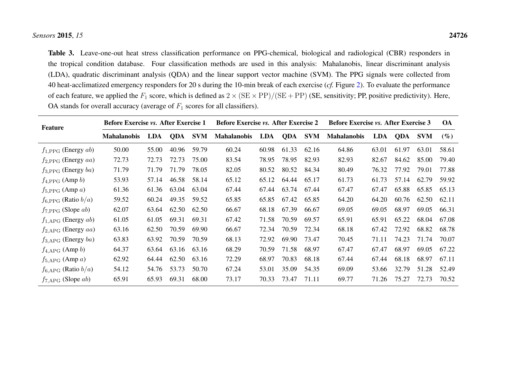# <span id="page-10-0"></span>*Sensors* <sup>2015</sup>, *<sup>15</sup>*

Table 3. Leave-one-out heat stress classification performance on PPG-chemical, biological and radiological (CBR) responders in the tropical condition database. Four classification methods are used in this analysis: Mahalanobis, linear discriminant analysis(LDA), quadratic discriminant analysis (QDA) and the linear suppor<sup>t</sup> vector machine (SVM). The PPG signals were collected from 40 heat-acclimatized emergency responders for 20 <sup>s</sup> during the 10-min break of each exercise (*cf.* Figure [2\)](#page-3-1). To evaluate the performance of each feature, we applied the  $F_1$  score, which is defined as  $2 \times (SE \times PP)/(SE + PP)$  (SE, sensitivity; PP, positive predictivity). Here, OA stands for overall accuracy (average of  $F_1$  scores for all classifiers).

| Feature                               | <b>Before Exercise vs. After Exercise 1</b> |            |            |            | <b>Before Exercise vs. After Exercise 2</b> |       |            |            | <b>Before Exercise vs. After Exercise 3</b> |            |            |            | <b>OA</b> |
|---------------------------------------|---------------------------------------------|------------|------------|------------|---------------------------------------------|-------|------------|------------|---------------------------------------------|------------|------------|------------|-----------|
|                                       | <b>Mahalanobis</b>                          | <b>LDA</b> | <b>QDA</b> | <b>SVM</b> | <b>Mahalanobis</b>                          | LDA   | <b>QDA</b> | <b>SVM</b> | <b>Mahalanobis</b>                          | <b>LDA</b> | <b>QDA</b> | <b>SVM</b> | $(\%)$    |
| $f_{1,\text{PPG}}$ (Energy ab)        | 50.00                                       | 55.00      | 40.96      | 59.79      | 60.24                                       | 60.98 | 61.33      | 62.16      | 64.86                                       | 63.01      | 61.97      | 63.01      | 58.61     |
| $f_{2,\text{PPG}}$ (Energy $aa$ )     | 72.73                                       | 72.73      | 72.73      | 75.00      | 83.54                                       | 78.95 | 78.95      | 82.93      | 82.93                                       | 82.67      | 84.62      | 85.00      | 79.40     |
| $f_{3,\text{PPG}}$ (Energy ba)        | 71.79                                       | 71.79      | 71.79      | 78.05      | 82.05                                       | 80.52 | 80.52      | 84.34      | 80.49                                       | 76.32      | 77.92      | 79.01      | 77.88     |
| $f_{4,\text{PPG}}$ (Amp b)            | 53.93                                       | 57.14      | 46.58      | 58.14      | 65.12                                       | 65.12 | 64.44      | 65.17      | 61.73                                       | 61.73      | 57.14      | 62.79      | 59.92     |
| $f_{5,\text{PPG}}$ (Amp a)            | 61.36                                       | 61.36      | 63.04      | 63.04      | 67.44                                       | 67.44 | 63.74      | 67.44      | 67.47                                       | 67.47      | 65.88      | 65.85      | 65.13     |
| $f_{6,\text{PPG}}$ (Ratio $b/a$ )     | 59.52                                       | 60.24      | 49.35      | 59.52      | 65.85                                       | 65.85 | 67.42      | 65.85      | 64.20                                       | 64.20      | 60.76      | 62.50      | 62.11     |
| $f_{7,\text{PPG}}$ (Slope <i>ab</i> ) | 62.07                                       | 63.64      | 62.50      | 62.50      | 66.67                                       | 68.18 | 67.39      | 66.67      | 69.05                                       | 69.05      | 68.97      | 69.05      | 66.31     |
| $f_{1,APG}$ (Energy ab)               | 61.05                                       | 61.05      | 69.31      | 69.31      | 67.42                                       | 71.58 | 70.59      | 69.57      | 65.91                                       | 65.91      | 65.22      | 68.04      | 67.08     |
| $f_{2,\text{APG}}$ (Energy $aa$ )     | 63.16                                       | 62.50      | 70.59      | 69.90      | 66.67                                       | 72.34 | 70.59      | 72.34      | 68.18                                       | 67.42      | 72.92      | 68.82      | 68.78     |
| $f_{3,APG}$ (Energy ba)               | 63.83                                       | 63.92      | 70.59      | 70.59      | 68.13                                       | 72.92 | 69.90      | 73.47      | 70.45                                       | 71.11      | 74.23      | 71.74      | 70.07     |
| $f_{4,\text{APG}}$ (Amp b)            | 64.37                                       | 63.64      | 63.16      | 63.16      | 68.29                                       | 70.59 | 71.58      | 68.97      | 67.47                                       | 67.47      | 68.97      | 69.05      | 67.22     |
| $f_{5,APG}$ (Amp a)                   | 62.92                                       | 64.44      | 62.50      | 63.16      | 72.29                                       | 68.97 | 70.83      | 68.18      | 67.44                                       | 67.44      | 68.18      | 68.97      | 67.11     |
| $f_{6,\text{APG}}$ (Ratio $b/a$ )     | 54.12                                       | 54.76      | 53.73      | 50.70      | 67.24                                       | 53.01 | 35.09      | 54.35      | 69.09                                       | 53.66      | 32.79      | 51.28      | 52.49     |
| $f_{7,APG}$ (Slope <i>ab</i> )        | 65.91                                       | 65.93      | 69.31      | 68.00      | 73.17                                       | 70.33 | 73.47      | 71.11      | 69.77                                       | 71.26      | 75.27      | 72.73      | 70.52     |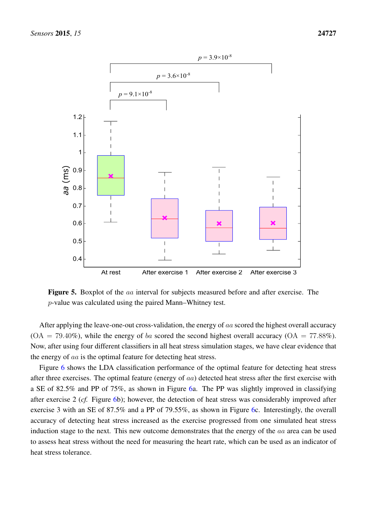<span id="page-11-0"></span>

Figure 5. Boxplot of the *aa* interval for subjects measured before and after exercise. The p-value was calculated using the paired Mann–Whitney test.

After applying the leave-one-out cross-validation, the energy of aa scored the highest overall accuracy  $(OA = 79.40\%)$ , while the energy of ba scored the second highest overall accuracy  $(OA = 77.88\%)$ . Now, after using four different classifiers in all heat stress simulation stages, we have clear evidence that the energy of aa is the optimal feature for detecting heat stress.

Figure [6](#page-12-0) shows the LDA classification performance of the optimal feature for detecting heat stress after three exercises. The optimal feature (energy of  $aa$ ) detected heat stress after the first exercise with a SE of 82.5% and PP of 75%, as shown in Figure [6a](#page-12-0). The PP was slightly improved in classifying after exercise 2 (*cf.* Figure [6b](#page-12-0)); however, the detection of heat stress was considerably improved after exercise 3 with an SE of 87.5% and a PP of 79.55%, as shown in Figure [6c](#page-12-0). Interestingly, the overall accuracy of detecting heat stress increased as the exercise progressed from one simulated heat stress induction stage to the next. This new outcome demonstrates that the energy of the aa area can be used to assess heat stress without the need for measuring the heart rate, which can be used as an indicator of heat stress tolerance.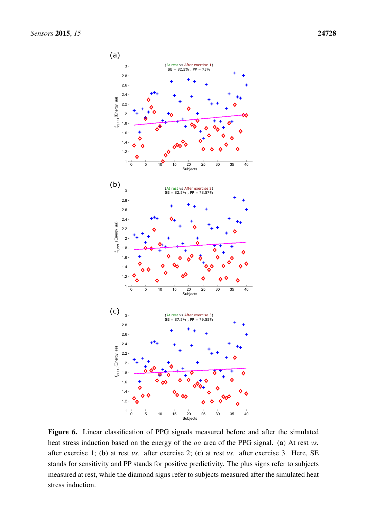<span id="page-12-0"></span>

Figure 6. Linear classification of PPG signals measured before and after the simulated heat stress induction based on the energy of the aa area of the PPG signal. (a) At rest *vs.* after exercise 1; (b) at rest *vs.* after exercise 2; (c) at rest *vs.* after exercise 3. Here, SE stands for sensitivity and PP stands for positive predictivity. The plus signs refer to subjects measured at rest, while the diamond signs refer to subjects measured after the simulated heat stress induction.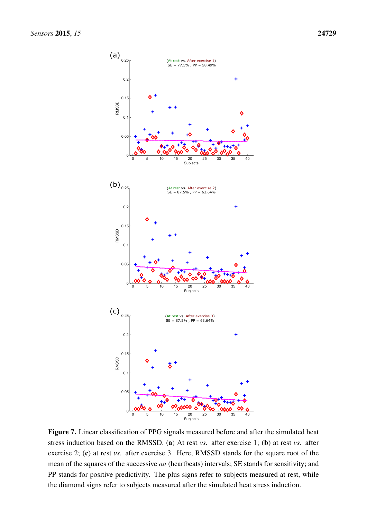<span id="page-13-0"></span>

Figure 7. Linear classification of PPG signals measured before and after the simulated heat stress induction based on the RMSSD. (a) At rest *vs.* after exercise 1; (b) at rest *vs.* after exercise 2; (c) at rest *vs.* after exercise 3. Here, RMSSD stands for the square root of the mean of the squares of the successive aa (heartbeats) intervals; SE stands for sensitivity; and PP stands for positive predictivity. The plus signs refer to subjects measured at rest, while the diamond signs refer to subjects measured after the simulated heat stress induction.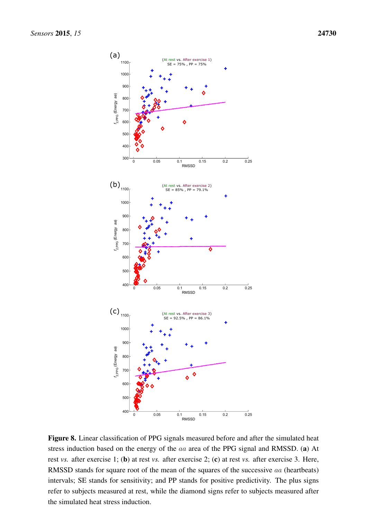<span id="page-14-0"></span>

Figure 8. Linear classification of PPG signals measured before and after the simulated heat stress induction based on the energy of the aa area of the PPG signal and RMSSD. (a) At rest *vs.* after exercise 1; (b) at rest *vs.* after exercise 2; (c) at rest *vs.* after exercise 3. Here, RMSSD stands for square root of the mean of the squares of the successive aa (heartbeats) intervals; SE stands for sensitivity; and PP stands for positive predictivity. The plus signs refer to subjects measured at rest, while the diamond signs refer to subjects measured after the simulated heat stress induction.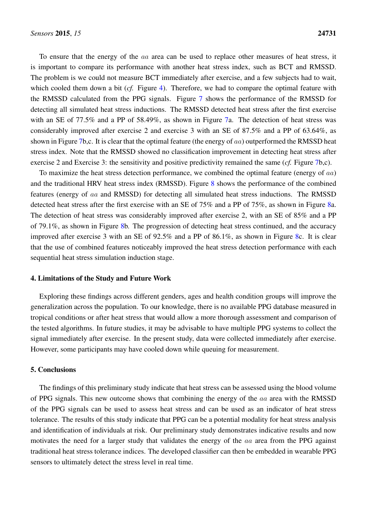To ensure that the energy of the aa area can be used to replace other measures of heat stress, it is important to compare its performance with another heat stress index, such as BCT and RMSSD. The problem is we could not measure BCT immediately after exercise, and a few subjects had to wait, which cooled them down a bit (*cf.* Figure [4\)](#page-8-0). Therefore, we had to compare the optimal feature with the RMSSD calculated from the PPG signals. Figure [7](#page-13-0) shows the performance of the RMSSD for detecting all simulated heat stress inductions. The RMSSD detected heat stress after the first exercise with an SE of 77.5% and a PP of 58.49%, as shown in Figure [7a](#page-13-0). The detection of heat stress was considerably improved after exercise 2 and exercise 3 with an SE of 87.5% and a PP of 63.64%, as shown in Figure [7b](#page-13-0),c. It is clear that the optimal feature (the energy of  $aa$ ) outperformed the RMSSD heat stress index. Note that the RMSSD showed no classification improvement in detecting heat stress after exercise 2 and Exercise 3: the sensitivity and positive predictivity remained the same (*cf.* Figure [7b](#page-13-0),c).

To maximize the heat stress detection performance, we combined the optimal feature (energy of  $aa$ ) and the traditional HRV heat stress index (RMSSD). Figure [8](#page-14-0) shows the performance of the combined features (energy of aa and RMSSD) for detecting all simulated heat stress inductions. The RMSSD detected heat stress after the first exercise with an SE of 75% and a PP of 75%, as shown in Figure [8a](#page-14-0). The detection of heat stress was considerably improved after exercise 2, with an SE of 85% and a PP of 79.1%, as shown in Figure [8b](#page-14-0). The progression of detecting heat stress continued, and the accuracy improved after exercise 3 with an SE of 92.5% and a PP of 86.1%, as shown in Figure [8c](#page-14-0). It is clear that the use of combined features noticeably improved the heat stress detection performance with each sequential heat stress simulation induction stage.

#### 4. Limitations of the Study and Future Work

Exploring these findings across different genders, ages and health condition groups will improve the generalization across the population. To our knowledge, there is no available PPG database measured in tropical conditions or after heat stress that would allow a more thorough assessment and comparison of the tested algorithms. In future studies, it may be advisable to have multiple PPG systems to collect the signal immediately after exercise. In the present study, data were collected immediately after exercise. However, some participants may have cooled down while queuing for measurement.

#### 5. Conclusions

The findings of this preliminary study indicate that heat stress can be assessed using the blood volume of PPG signals. This new outcome shows that combining the energy of the aa area with the RMSSD of the PPG signals can be used to assess heat stress and can be used as an indicator of heat stress tolerance. The results of this study indicate that PPG can be a potential modality for heat stress analysis and identification of individuals at risk. Our preliminary study demonstrates indicative results and now motivates the need for a larger study that validates the energy of the aa area from the PPG against traditional heat stress tolerance indices. The developed classifier can then be embedded in wearable PPG sensors to ultimately detect the stress level in real time.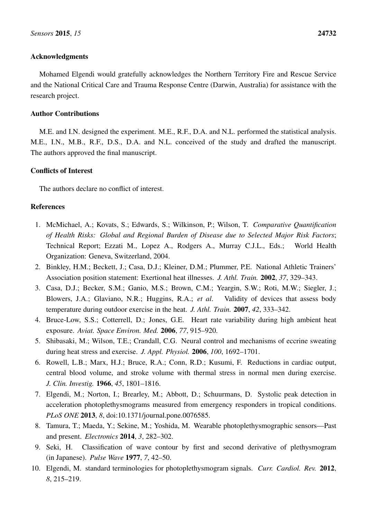#### Acknowledgments

Mohamed Elgendi would gratefully acknowledges the Northern Territory Fire and Rescue Service and the National Critical Care and Trauma Response Centre (Darwin, Australia) for assistance with the research project.

# Author Contributions

M.E. and I.N. designed the experiment. M.E., R.F., D.A. and N.L. performed the statistical analysis. M.E., I.N., M.B., R.F., D.S., D.A. and N.L. conceived of the study and drafted the manuscript. The authors approved the final manuscript.

## Conflicts of Interest

The authors declare no conflict of interest.

# References

- <span id="page-16-0"></span>1. McMichael, A.; Kovats, S.; Edwards, S.; Wilkinson, P.; Wilson, T. *Comparative Quantification of Health Risks: Global and Regional Burden of Disease due to Selected Major Risk Factors*; Technical Report; Ezzati M., Lopez A., Rodgers A., Murray C.J.L., Eds.; World Health Organization: Geneva, Switzerland, 2004.
- <span id="page-16-1"></span>2. Binkley, H.M.; Beckett, J.; Casa, D.J.; Kleiner, D.M.; Plummer, P.E. National Athletic Trainers' Association position statement: Exertional heat illnesses. *J. Athl. Train.* 2002, *37*, 329–343.
- <span id="page-16-2"></span>3. Casa, D.J.; Becker, S.M.; Ganio, M.S.; Brown, C.M.; Yeargin, S.W.; Roti, M.W.; Siegler, J.; Blowers, J.A.; Glaviano, N.R.; Huggins, R.A.; *et al*. Validity of devices that assess body temperature during outdoor exercise in the heat. *J. Athl. Train.* 2007, *42*, 333–342.
- <span id="page-16-3"></span>4. Bruce-Low, S.S.; Cotterrell, D.; Jones, G.E. Heart rate variability during high ambient heat exposure. *Aviat. Space Environ. Med.* 2006, *77*, 915–920.
- <span id="page-16-4"></span>5. Shibasaki, M.; Wilson, T.E.; Crandall, C.G. Neural control and mechanisms of eccrine sweating during heat stress and exercise. *J. Appl. Physiol.* 2006, *100*, 1692–1701.
- <span id="page-16-5"></span>6. Rowell, L.B.; Marx, H.J.; Bruce, R.A.; Conn, R.D.; Kusumi, F. Reductions in cardiac output, central blood volume, and stroke volume with thermal stress in normal men during exercise. *J. Clin. Investig.* 1966, *45*, 1801–1816.
- <span id="page-16-6"></span>7. Elgendi, M.; Norton, I.; Brearley, M.; Abbott, D.; Schuurmans, D. Systolic peak detection in acceleration photoplethysmograms measured from emergency responders in tropical conditions. *PLoS ONE* 2013, *8*, doi:10.1371/journal.pone.0076585.
- <span id="page-16-7"></span>8. Tamura, T.; Maeda, Y.; Sekine, M.; Yoshida, M. Wearable photoplethysmographic sensors—Past and present. *Electronics* 2014, *3*, 282–302.
- <span id="page-16-8"></span>9. Seki, H. Classification of wave contour by first and second derivative of plethysmogram (in Japanese). *Pulse Wave* 1977, *7*, 42–50.
- <span id="page-16-9"></span>10. Elgendi, M. standard terminologies for photoplethysmogram signals. *Curr. Cardiol. Rev.* 2012, *8*, 215–219.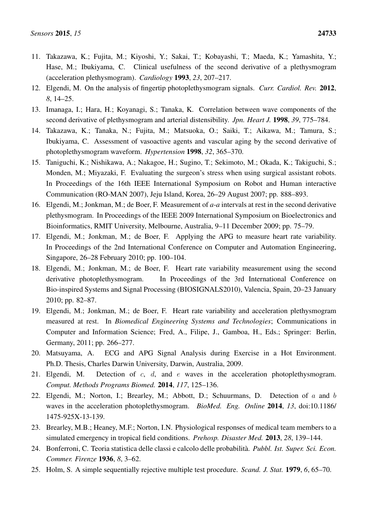- <span id="page-17-0"></span>11. Takazawa, K.; Fujita, M.; Kiyoshi, Y.; Sakai, T.; Kobayashi, T.; Maeda, K.; Yamashita, Y.; Hase, M.; Ibukiyama, C. Clinical usefulness of the second derivative of a plethysmogram (acceleration plethysmogram). *Cardiology* 1993, *23*, 207–217.
- <span id="page-17-1"></span>12. Elgendi, M. On the analysis of fingertip photoplethysmogram signals. *Curr. Cardiol. Rev.* 2012, *8*, 14–25.
- <span id="page-17-2"></span>13. Imanaga, I.; Hara, H.; Koyanagi, S.; Tanaka, K. Correlation between wave components of the second derivative of plethysmogram and arterial distensibility. *Jpn. Heart J.* 1998, *39*, 775–784.
- <span id="page-17-3"></span>14. Takazawa, K.; Tanaka, N.; Fujita, M.; Matsuoka, O.; Saiki, T.; Aikawa, M.; Tamura, S.; Ibukiyama, C. Assessment of vasoactive agents and vascular aging by the second derivative of photoplethysmogram waveform. *Hypertension* 1998, *32*, 365–370.
- <span id="page-17-4"></span>15. Taniguchi, K.; Nishikawa, A.; Nakagoe, H.; Sugino, T.; Sekimoto, M.; Okada, K.; Takiguchi, S.; Monden, M.; Miyazaki, F. Evaluating the surgeon's stress when using surgical assistant robots. In Proceedings of the 16th IEEE International Symposium on Robot and Human interactive Communication (RO-MAN 2007), Jeju Island, Korea, 26–29 August 2007; pp. 888–893.
- <span id="page-17-5"></span>16. Elgendi, M.; Jonkman, M.; de Boer, F. Measurement of *a*-*a* intervals at rest in the second derivative plethysmogram. In Proceedings of the IEEE 2009 International Symposium on Bioelectronics and Bioinformatics, RMIT University, Melbourne, Australia, 9–11 December 2009; pp. 75–79.
- <span id="page-17-6"></span>17. Elgendi, M.; Jonkman, M.; de Boer, F. Applying the APG to measure heart rate variability. In Proceedings of the 2nd International Conference on Computer and Automation Engineering, Singapore, 26–28 February 2010; pp. 100–104.
- 18. Elgendi, M.; Jonkman, M.; de Boer, F. Heart rate variability measurement using the second derivative photoplethysmogram. In Proceedings of the 3rd International Conference on Bio-inspired Systems and Signal Processing (BIOSIGNALS2010), Valencia, Spain, 20–23 January 2010; pp. 82–87.
- <span id="page-17-7"></span>19. Elgendi, M.; Jonkman, M.; de Boer, F. Heart rate variability and acceleration plethysmogram measured at rest. In *Biomedical Engineering Systems and Technologies*; Communications in Computer and Information Science; Fred, A., Filipe, J., Gamboa, H., Eds.; Springer: Berlin, Germany, 2011; pp. 266–277.
- <span id="page-17-8"></span>20. Matsuyama, A. ECG and APG Signal Analysis during Exercise in a Hot Environment. Ph.D. Thesis, Charles Darwin University, Darwin, Australia, 2009.
- <span id="page-17-9"></span>21. Elgendi, M. Detection of  $c$ ,  $d$ , and  $e$  waves in the acceleration photoplethysmogram. *Comput. Methods Programs Biomed.* 2014, *117*, 125–136.
- <span id="page-17-10"></span>22. Elgendi, M.; Norton, I.; Brearley, M.; Abbott, D.; Schuurmans, D. Detection of  $\alpha$  and  $\beta$ waves in the acceleration photoplethysmogram. *BioMed. Eng. Online* 2014, *13*, doi:10.1186/ 1475-925X-13-139.
- <span id="page-17-11"></span>23. Brearley, M.B.; Heaney, M.F.; Norton, I.N. Physiological responses of medical team members to a simulated emergency in tropical field conditions. *Prehosp. Disaster Med.* 2013, *28*, 139–144.
- <span id="page-17-12"></span>24. Bonferroni, C. Teoria statistica delle classi e calcolo delle probabilità. *Pubbl. Ist. Super. Sci. Econ. Commer. Firenze* 1936, *8*, 3–62.
- <span id="page-17-13"></span>25. Holm, S. A simple sequentially rejective multiple test procedure. *Scand. J. Stat.* 1979, *6*, 65–70.